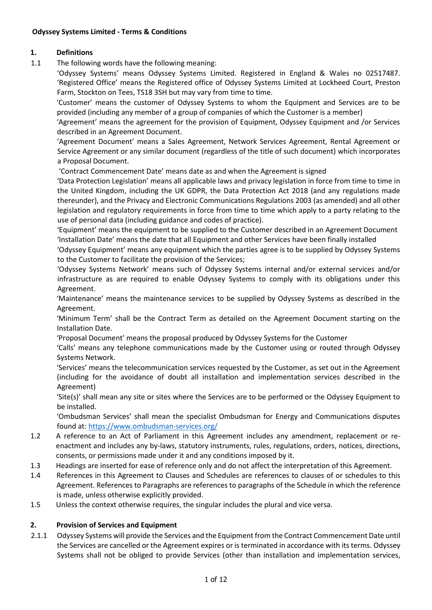## **1. Definitions**

1.1 The following words have the following meaning:

'Odyssey Systems' means Odyssey Systems Limited. Registered in England & Wales no 02517487. 'Registered Office' means the Registered office of Odyssey Systems Limited at Lockheed Court, Preston Farm, Stockton on Tees, TS18 3SH but may vary from time to time.

'Customer' means the customer of Odyssey Systems to whom the Equipment and Services are to be provided (including any member of a group of companies of which the Customer is a member)

'Agreement' means the agreement for the provision of Equipment, Odyssey Equipment and /or Services described in an Agreement Document.

'Agreement Document' means a Sales Agreement, Network Services Agreement, Rental Agreement or Service Agreement or any similar document (regardless of the title of such document) which incorporates a Proposal Document.

'Contract Commencement Date' means date as and when the Agreement is signed

'Data Protection Legislation' means all applicable laws and privacy legislation in force from time to time in the United Kingdom, including the UK GDPR, the Data Protection Act 2018 (and any regulations made thereunder), and the Privacy and Electronic Communications Regulations 2003 (as amended) and all other legislation and regulatory requirements in force from time to time which apply to a party relating to the use of personal data (including guidance and codes of practice).

'Equipment' means the equipment to be supplied to the Customer described in an Agreement Document 'Installation Date' means the date that all Equipment and other Services have been finally installed

'Odyssey Equipment' means any equipment which the parties agree is to be supplied by Odyssey Systems to the Customer to facilitate the provision of the Services;

'Odyssey Systems Network' means such of Odyssey Systems internal and/or external services and/or infrastructure as are required to enable Odyssey Systems to comply with its obligations under this Agreement.

'Maintenance' means the maintenance services to be supplied by Odyssey Systems as described in the Agreement.

'Minimum Term' shall be the Contract Term as detailed on the Agreement Document starting on the Installation Date.

'Proposal Document' means the proposal produced by Odyssey Systems for the Customer

'Calls' means any telephone communications made by the Customer using or routed through Odyssey Systems Network.

'Services' means the telecommunication services requested by the Customer, as set out in the Agreement (including for the avoidance of doubt all installation and implementation services described in the Agreement)

'Site(s)' shall mean any site or sites where the Services are to be performed or the Odyssey Equipment to be installed.

'Ombudsman Services' shall mean the specialist Ombudsman for Energy and Communications disputes found at:<https://www.ombudsman-services.org/>

- 1.2 A reference to an Act of Parliament in this Agreement includes any amendment, replacement or reenactment and includes any by-laws, statutory instruments, rules, regulations, orders, notices, directions, consents, or permissions made under it and any conditions imposed by it.
- 1.3 Headings are inserted for ease of reference only and do not affect the interpretation of this Agreement.
- 1.4 References in this Agreement to Clauses and Schedules are references to clauses of or schedules to this Agreement. References to Paragraphs are references to paragraphs of the Schedule in which the reference is made, unless otherwise explicitly provided.
- 1.5 Unless the context otherwise requires, the singular includes the plural and vice versa.

## **2. Provision of Services and Equipment**

2.1.1 Odyssey Systems will provide the Services and the Equipment from the Contract Commencement Date until the Services are cancelled or the Agreement expires or is terminated in accordance with its terms. Odyssey Systems shall not be obliged to provide Services (other than installation and implementation services,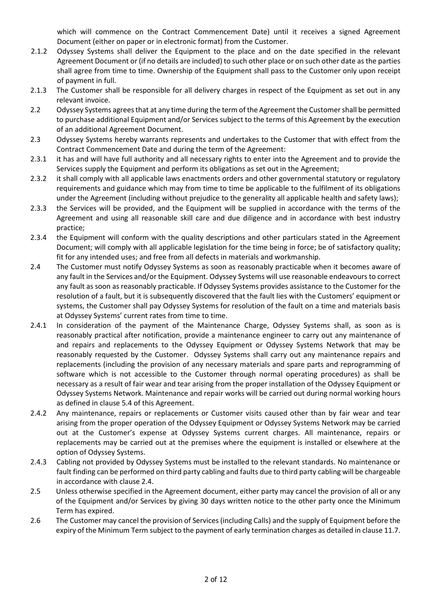which will commence on the Contract Commencement Date) until it receives a signed Agreement Document (either on paper or in electronic format) from the Customer.

- 2.1.2 Odyssey Systems shall deliver the Equipment to the place and on the date specified in the relevant Agreement Document or (if no details are included) to such other place or on such other date as the parties shall agree from time to time. Ownership of the Equipment shall pass to the Customer only upon receipt of payment in full.
- 2.1.3 The Customer shall be responsible for all delivery charges in respect of the Equipment as set out in any relevant invoice.
- 2.2 Odyssey Systems agrees that at any time during the term of the Agreement the Customer shall be permitted to purchase additional Equipment and/or Services subject to the terms of this Agreement by the execution of an additional Agreement Document.
- 2.3 Odyssey Systems hereby warrants represents and undertakes to the Customer that with effect from the Contract Commencement Date and during the term of the Agreement:
- 2.3.1 it has and will have full authority and all necessary rights to enter into the Agreement and to provide the Services supply the Equipment and perform its obligations as set out in the Agreement;
- 2.3.2 it shall comply with all applicable laws enactments orders and other governmental statutory or regulatory requirements and guidance which may from time to time be applicable to the fulfilment of its obligations under the Agreement (including without prejudice to the generality all applicable health and safety laws);
- 2.3.3 the Services will be provided, and the Equipment will be supplied in accordance with the terms of the Agreement and using all reasonable skill care and due diligence and in accordance with best industry practice;
- 2.3.4 the Equipment will conform with the quality descriptions and other particulars stated in the Agreement Document; will comply with all applicable legislation for the time being in force; be of satisfactory quality; fit for any intended uses; and free from all defects in materials and workmanship.
- 2.4 The Customer must notify Odyssey Systems as soon as reasonably practicable when it becomes aware of any fault in the Services and/or the Equipment. Odyssey Systems will use reasonable endeavours to correct any fault as soon as reasonably practicable. If Odyssey Systems provides assistance to the Customer for the resolution of a fault, but it is subsequently discovered that the fault lies with the Customers' equipment or systems, the Customer shall pay Odyssey Systems for resolution of the fault on a time and materials basis at Odyssey Systems' current rates from time to time.
- 2.4.1 In consideration of the payment of the Maintenance Charge, Odyssey Systems shall, as soon as is reasonably practical after notification, provide a maintenance engineer to carry out any maintenance of and repairs and replacements to the Odyssey Equipment or Odyssey Systems Network that may be reasonably requested by the Customer. Odyssey Systems shall carry out any maintenance repairs and replacements (including the provision of any necessary materials and spare parts and reprogramming of software which is not accessible to the Customer through normal operating procedures) as shall be necessary as a result of fair wear and tear arising from the proper installation of the Odyssey Equipment or Odyssey Systems Network. Maintenance and repair works will be carried out during normal working hours as defined in clause 5.4 of this Agreement.
- 2.4.2 Any maintenance, repairs or replacements or Customer visits caused other than by fair wear and tear arising from the proper operation of the Odyssey Equipment or Odyssey Systems Network may be carried out at the Customer's expense at Odyssey Systems current charges. All maintenance, repairs or replacements may be carried out at the premises where the equipment is installed or elsewhere at the option of Odyssey Systems.
- 2.4.3 Cabling not provided by Odyssey Systems must be installed to the relevant standards. No maintenance or fault finding can be performed on third party cabling and faults due to third party cabling will be chargeable in accordance with clause 2.4.
- 2.5 Unless otherwise specified in the Agreement document, either party may cancel the provision of all or any of the Equipment and/or Services by giving 30 days written notice to the other party once the Minimum Term has expired.
- 2.6 The Customer may cancel the provision of Services (including Calls) and the supply of Equipment before the expiry of the Minimum Term subject to the payment of early termination charges as detailed in clause 11.7.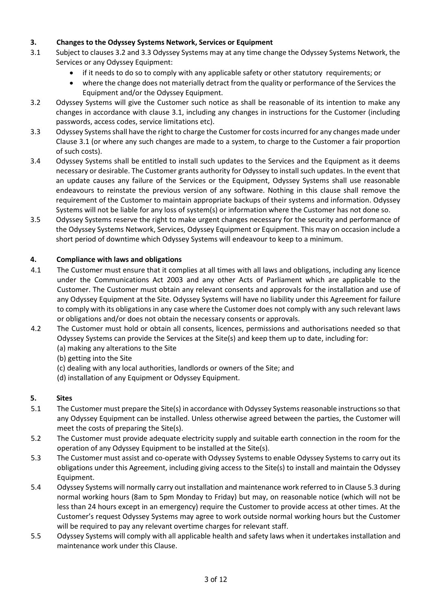# **3. Changes to the Odyssey Systems Network, Services or Equipment**

- 3.1 Subject to clauses 3.2 and 3.3 Odyssey Systems may at any time change the Odyssey Systems Network, the Services or any Odyssey Equipment:
	- if it needs to do so to comply with any applicable safety or other statutory requirements; or
	- where the change does not materially detract from the quality or performance of the Services the Equipment and/or the Odyssey Equipment.
- 3.2 Odyssey Systems will give the Customer such notice as shall be reasonable of its intention to make any changes in accordance with clause 3.1, including any changes in instructions for the Customer (including passwords, access codes, service limitations etc).
- 3.3 Odyssey Systems shall have the right to charge the Customer for costs incurred for any changes made under Clause 3.1 (or where any such changes are made to a system, to charge to the Customer a fair proportion of such costs).
- 3.4 Odyssey Systems shall be entitled to install such updates to the Services and the Equipment as it deems necessary or desirable. The Customer grants authority for Odyssey to install such updates. In the event that an update causes any failure of the Services or the Equipment, Odyssey Systems shall use reasonable endeavours to reinstate the previous version of any software. Nothing in this clause shall remove the requirement of the Customer to maintain appropriate backups of their systems and information. Odyssey Systems will not be liable for any loss of system(s) or information where the Customer has not done so.
- 3.5 Odyssey Systems reserve the right to make urgent changes necessary for the security and performance of the Odyssey Systems Network, Services, Odyssey Equipment or Equipment. This may on occasion include a short period of downtime which Odyssey Systems will endeavour to keep to a minimum.

## **4. Compliance with laws and obligations**

- 4.1 The Customer must ensure that it complies at all times with all laws and obligations, including any licence under the Communications Act 2003 and any other Acts of Parliament which are applicable to the Customer. The Customer must obtain any relevant consents and approvals for the installation and use of any Odyssey Equipment at the Site. Odyssey Systems will have no liability under this Agreement for failure to comply with its obligations in any case where the Customer does not comply with any such relevant laws or obligations and/or does not obtain the necessary consents or approvals.
- 4.2 The Customer must hold or obtain all consents, licences, permissions and authorisations needed so that Odyssey Systems can provide the Services at the Site(s) and keep them up to date, including for:
	- (a) making any alterations to the Site
	- (b) getting into the Site
	- (c) dealing with any local authorities, landlords or owners of the Site; and
	- (d) installation of any Equipment or Odyssey Equipment.

## **5. Sites**

- 5.1 The Customer must prepare the Site(s) in accordance with Odyssey Systems reasonable instructions so that any Odyssey Equipment can be installed. Unless otherwise agreed between the parties, the Customer will meet the costs of preparing the Site(s).
- 5.2 The Customer must provide adequate electricity supply and suitable earth connection in the room for the operation of any Odyssey Equipment to be installed at the Site(s).
- 5.3 The Customer must assist and co-operate with Odyssey Systems to enable Odyssey Systems to carry out its obligations under this Agreement, including giving access to the Site(s) to install and maintain the Odyssey Equipment.
- 5.4 Odyssey Systems will normally carry out installation and maintenance work referred to in Clause 5.3 during normal working hours (8am to 5pm Monday to Friday) but may, on reasonable notice (which will not be less than 24 hours except in an emergency) require the Customer to provide access at other times. At the Customer's request Odyssey Systems may agree to work outside normal working hours but the Customer will be required to pay any relevant overtime charges for relevant staff.
- 5.5 Odyssey Systems will comply with all applicable health and safety laws when it undertakes installation and maintenance work under this Clause.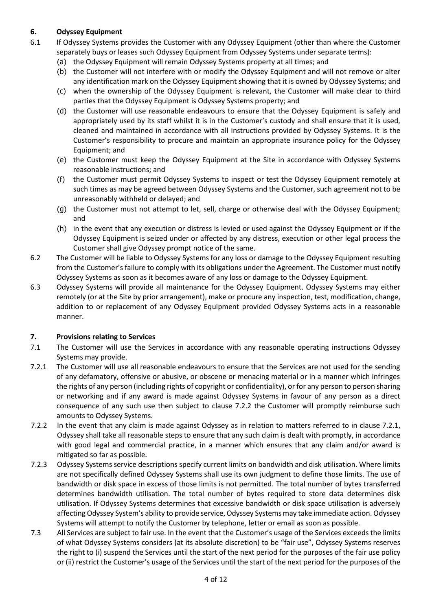# **6. Odyssey Equipment**

- 6.1 If Odyssey Systems provides the Customer with any Odyssey Equipment (other than where the Customer separately buys or leases such Odyssey Equipment from Odyssey Systems under separate terms):
	- (a) the Odyssey Equipment will remain Odyssey Systems property at all times; and
	- (b) the Customer will not interfere with or modify the Odyssey Equipment and will not remove or alter any identification mark on the Odyssey Equipment showing that it is owned by Odyssey Systems; and
	- (c) when the ownership of the Odyssey Equipment is relevant, the Customer will make clear to third parties that the Odyssey Equipment is Odyssey Systems property; and
	- (d) the Customer will use reasonable endeavours to ensure that the Odyssey Equipment is safely and appropriately used by its staff whilst it is in the Customer's custody and shall ensure that it is used, cleaned and maintained in accordance with all instructions provided by Odyssey Systems. It is the Customer's responsibility to procure and maintain an appropriate insurance policy for the Odyssey Equipment; and
	- (e) the Customer must keep the Odyssey Equipment at the Site in accordance with Odyssey Systems reasonable instructions; and
	- (f) the Customer must permit Odyssey Systems to inspect or test the Odyssey Equipment remotely at such times as may be agreed between Odyssey Systems and the Customer, such agreement not to be unreasonably withheld or delayed; and
	- (g) the Customer must not attempt to let, sell, charge or otherwise deal with the Odyssey Equipment; and
	- (h) in the event that any execution or distress is levied or used against the Odyssey Equipment or if the Odyssey Equipment is seized under or affected by any distress, execution or other legal process the Customer shall give Odyssey prompt notice of the same.
- 6.2 The Customer will be liable to Odyssey Systems for any loss or damage to the Odyssey Equipment resulting from the Customer's failure to comply with its obligations under the Agreement. The Customer must notify Odyssey Systems as soon as it becomes aware of any loss or damage to the Odyssey Equipment.
- 6.3 Odyssey Systems will provide all maintenance for the Odyssey Equipment. Odyssey Systems may either remotely (or at the Site by prior arrangement), make or procure any inspection, test, modification, change, addition to or replacement of any Odyssey Equipment provided Odyssey Systems acts in a reasonable manner.

## **7. Provisions relating to Services**

- 7.1 The Customer will use the Services in accordance with any reasonable operating instructions Odyssey Systems may provide.
- 7.2.1 The Customer will use all reasonable endeavours to ensure that the Services are not used for the sending of any defamatory, offensive or abusive, or obscene or menacing material or in a manner which infringes the rights of any person (including rights of copyright or confidentiality), or for any person to person sharing or networking and if any award is made against Odyssey Systems in favour of any person as a direct consequence of any such use then subject to clause 7.2.2 the Customer will promptly reimburse such amounts to Odyssey Systems.
- 7.2.2 In the event that any claim is made against Odyssey as in relation to matters referred to in clause 7.2.1, Odyssey shall take all reasonable steps to ensure that any such claim is dealt with promptly, in accordance with good legal and commercial practice, in a manner which ensures that any claim and/or award is mitigated so far as possible.
- 7.2.3 Odyssey Systems service descriptions specify current limits on bandwidth and disk utilisation. Where limits are not specifically defined Odyssey Systems shall use its own judgment to define those limits. The use of bandwidth or disk space in excess of those limits is not permitted. The total number of bytes transferred determines bandwidth utilisation. The total number of bytes required to store data determines disk utilisation. If Odyssey Systems determines that excessive bandwidth or disk space utilisation is adversely affecting Odyssey System's ability to provide service, Odyssey Systems may take immediate action. Odyssey Systems will attempt to notify the Customer by telephone, letter or email as soon as possible.
- 7.3 All Services are subject to fair use. In the event that the Customer's usage of the Services exceeds the limits of what Odyssey Systems considers (at its absolute discretion) to be "fair use", Odyssey Systems reserves the right to (i) suspend the Services until the start of the next period for the purposes of the fair use policy or (ii) restrict the Customer's usage of the Services until the start of the next period for the purposes of the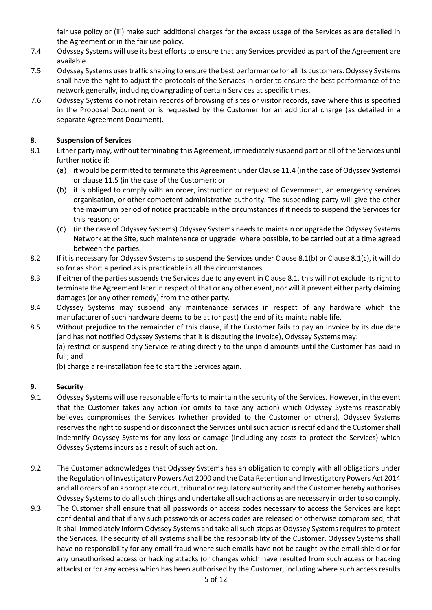fair use policy or (iii) make such additional charges for the excess usage of the Services as are detailed in the Agreement or in the fair use policy.

- 7.4 Odyssey Systems will use its best efforts to ensure that any Services provided as part of the Agreement are available.
- 7.5 Odyssey Systems uses traffic shaping to ensure the best performance for all its customers. Odyssey Systems shall have the right to adjust the protocols of the Services in order to ensure the best performance of the network generally, including downgrading of certain Services at specific times.
- 7.6 Odyssey Systems do not retain records of browsing of sites or visitor records, save where this is specified in the Proposal Document or is requested by the Customer for an additional charge (as detailed in a separate Agreement Document).

## **8. Suspension of Services**

- 8.1 Either party may, without terminating this Agreement, immediately suspend part or all of the Services until further notice if:
	- (a) it would be permitted to terminate this Agreement under Clause 11.4 (in the case of Odyssey Systems) or clause 11.5 (in the case of the Customer); or
	- (b) it is obliged to comply with an order, instruction or request of Government, an emergency services organisation, or other competent administrative authority. The suspending party will give the other the maximum period of notice practicable in the circumstances if it needs to suspend the Services for this reason; or
	- (c) (in the case of Odyssey Systems) Odyssey Systems needs to maintain or upgrade the Odyssey Systems Network at the Site, such maintenance or upgrade, where possible, to be carried out at a time agreed between the parties.
- 8.2 If it is necessary for Odyssey Systems to suspend the Services under Clause 8.1(b) or Clause 8.1(c), it will do so for as short a period as is practicable in all the circumstances.
- 8.3 If either of the parties suspends the Services due to any event in Clause 8.1, this will not exclude its right to terminate the Agreement later in respect of that or any other event, nor will it prevent either party claiming damages (or any other remedy) from the other party.
- 8.4 Odyssey Systems may suspend any maintenance services in respect of any hardware which the manufacturer of such hardware deems to be at (or past) the end of its maintainable life.
- 8.5 Without prejudice to the remainder of this clause, if the Customer fails to pay an Invoice by its due date (and has not notified Odyssey Systems that it is disputing the Invoice), Odyssey Systems may:

(a) restrict or suspend any Service relating directly to the unpaid amounts until the Customer has paid in full; and

(b) charge a re-installation fee to start the Services again.

## **9. Security**

- 9.1 Odyssey Systems will use reasonable efforts to maintain the security of the Services. However, in the event that the Customer takes any action (or omits to take any action) which Odyssey Systems reasonably believes compromises the Services (whether provided to the Customer or others), Odyssey Systems reserves the right to suspend or disconnect the Services until such action is rectified and the Customer shall indemnify Odyssey Systems for any loss or damage (including any costs to protect the Services) which Odyssey Systems incurs as a result of such action.
- 9.2 The Customer acknowledges that Odyssey Systems has an obligation to comply with all obligations under the Regulation of Investigatory Powers Act 2000 and the Data Retention and Investigatory Powers Act 2014 and all orders of an appropriate court, tribunal or regulatory authority and the Customer hereby authorises Odyssey Systems to do all such things and undertake all such actions as are necessary in order to so comply.
- 9.3 The Customer shall ensure that all passwords or access codes necessary to access the Services are kept confidential and that if any such passwords or access codes are released or otherwise compromised, that it shall immediately inform Odyssey Systems and take all such steps as Odyssey Systems requires to protect the Services. The security of all systems shall be the responsibility of the Customer. Odyssey Systems shall have no responsibility for any email fraud where such emails have not be caught by the email shield or for any unauthorised access or hacking attacks (or changes which have resulted from such access or hacking attacks) or for any access which has been authorised by the Customer, including where such access results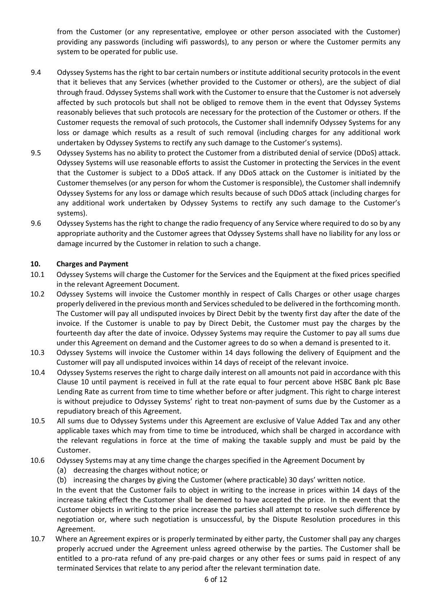from the Customer (or any representative, employee or other person associated with the Customer) providing any passwords (including wifi passwords), to any person or where the Customer permits any system to be operated for public use.

- 9.4 Odyssey Systems has the right to bar certain numbers or institute additional security protocols in the event that it believes that any Services (whether provided to the Customer or others), are the subject of dial through fraud. Odyssey Systems shall work with the Customer to ensure that the Customer is not adversely affected by such protocols but shall not be obliged to remove them in the event that Odyssey Systems reasonably believes that such protocols are necessary for the protection of the Customer or others. If the Customer requests the removal of such protocols, the Customer shall indemnify Odyssey Systems for any loss or damage which results as a result of such removal (including charges for any additional work undertaken by Odyssey Systems to rectify any such damage to the Customer's systems).
- 9.5 Odyssey Systems has no ability to protect the Customer from a distributed denial of service (DDoS) attack. Odyssey Systems will use reasonable efforts to assist the Customer in protecting the Services in the event that the Customer is subject to a DDoS attack. If any DDoS attack on the Customer is initiated by the Customer themselves (or any person for whom the Customer is responsible), the Customer shall indemnify Odyssey Systems for any loss or damage which results because of such DDoS attack (including charges for any additional work undertaken by Odyssey Systems to rectify any such damage to the Customer's systems).
- 9.6 Odyssey Systems has the right to change the radio frequency of any Service where required to do so by any appropriate authority and the Customer agrees that Odyssey Systems shall have no liability for any loss or damage incurred by the Customer in relation to such a change.

## **10. Charges and Payment**

- 10.1 Odyssey Systems will charge the Customer for the Services and the Equipment at the fixed prices specified in the relevant Agreement Document.
- 10.2 Odyssey Systems will invoice the Customer monthly in respect of Calls Charges or other usage charges properly delivered in the previous month and Services scheduled to be delivered in the forthcoming month. The Customer will pay all undisputed invoices by Direct Debit by the twenty first day after the date of the invoice. If the Customer is unable to pay by Direct Debit, the Customer must pay the charges by the fourteenth day after the date of invoice. Odyssey Systems may require the Customer to pay all sums due under this Agreement on demand and the Customer agrees to do so when a demand is presented to it.
- 10.3 Odyssey Systems will invoice the Customer within 14 days following the delivery of Equipment and the Customer will pay all undisputed invoices within 14 days of receipt of the relevant invoice.
- 10.4 Odyssey Systems reserves the right to charge daily interest on all amounts not paid in accordance with this Clause 10 until payment is received in full at the rate equal to four percent above HSBC Bank plc Base Lending Rate as current from time to time whether before or after judgment. This right to charge interest is without prejudice to Odyssey Systems' right to treat non-payment of sums due by the Customer as a repudiatory breach of this Agreement.
- 10.5 All sums due to Odyssey Systems under this Agreement are exclusive of Value Added Tax and any other applicable taxes which may from time to time be introduced, which shall be charged in accordance with the relevant regulations in force at the time of making the taxable supply and must be paid by the Customer.
- 10.6 Odyssey Systems may at any time change the charges specified in the Agreement Document by
	- (a) decreasing the charges without notice; or
	- (b) increasing the charges by giving the Customer (where practicable) 30 days' written notice.

In the event that the Customer fails to object in writing to the increase in prices within 14 days of the increase taking effect the Customer shall be deemed to have accepted the price. In the event that the Customer objects in writing to the price increase the parties shall attempt to resolve such difference by negotiation or, where such negotiation is unsuccessful, by the Dispute Resolution procedures in this Agreement.

10.7 Where an Agreement expires or is properly terminated by either party, the Customer shall pay any charges properly accrued under the Agreement unless agreed otherwise by the parties. The Customer shall be entitled to a pro-rata refund of any pre-paid charges or any other fees or sums paid in respect of any terminated Services that relate to any period after the relevant termination date.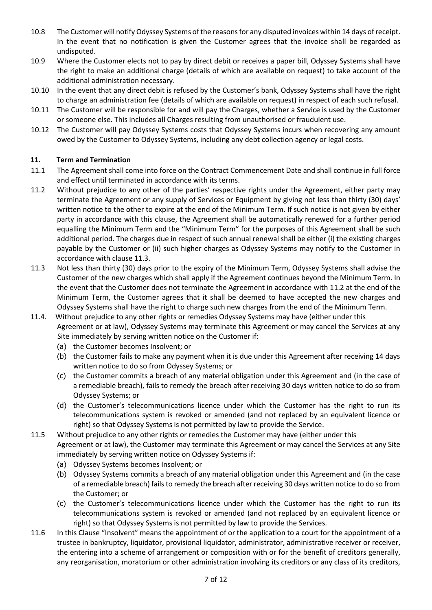- 10.8 The Customer will notify Odyssey Systems of the reasons for any disputed invoices within 14 days of receipt. In the event that no notification is given the Customer agrees that the invoice shall be regarded as undisputed.
- 10.9 Where the Customer elects not to pay by direct debit or receives a paper bill, Odyssey Systems shall have the right to make an additional charge (details of which are available on request) to take account of the additional administration necessary.
- 10.10 In the event that any direct debit is refused by the Customer's bank, Odyssey Systems shall have the right to charge an administration fee (details of which are available on request) in respect of each such refusal.
- 10.11 The Customer will be responsible for and will pay the Charges, whether a Service is used by the Customer or someone else. This includes all Charges resulting from unauthorised or fraudulent use.
- 10.12 The Customer will pay Odyssey Systems costs that Odyssey Systems incurs when recovering any amount owed by the Customer to Odyssey Systems, including any debt collection agency or legal costs.

## **11. Term and Termination**

- 11.1 The Agreement shall come into force on the Contract Commencement Date and shall continue in full force and effect until terminated in accordance with its terms.
- 11.2 Without prejudice to any other of the parties' respective rights under the Agreement, either party may terminate the Agreement or any supply of Services or Equipment by giving not less than thirty (30) days' written notice to the other to expire at the end of the Minimum Term. If such notice is not given by either party in accordance with this clause, the Agreement shall be automatically renewed for a further period equalling the Minimum Term and the "Minimum Term" for the purposes of this Agreement shall be such additional period. The charges due in respect of such annual renewal shall be either (i) the existing charges payable by the Customer or (ii) such higher charges as Odyssey Systems may notify to the Customer in accordance with clause 11.3.
- 11.3 Not less than thirty (30) days prior to the expiry of the Minimum Term, Odyssey Systems shall advise the Customer of the new charges which shall apply if the Agreement continues beyond the Minimum Term. In the event that the Customer does not terminate the Agreement in accordance with 11.2 at the end of the Minimum Term, the Customer agrees that it shall be deemed to have accepted the new charges and Odyssey Systems shall have the right to charge such new charges from the end of the Minimum Term.
- 11.4. Without prejudice to any other rights or remedies Odyssey Systems may have (either under this Agreement or at law), Odyssey Systems may terminate this Agreement or may cancel the Services at any Site immediately by serving written notice on the Customer if:
	- (a) the Customer becomes Insolvent; or
	- (b) the Customer fails to make any payment when it is due under this Agreement after receiving 14 days written notice to do so from Odyssey Systems; or
	- (c) the Customer commits a breach of any material obligation under this Agreement and (in the case of a remediable breach), fails to remedy the breach after receiving 30 days written notice to do so from Odyssey Systems; or
	- (d) the Customer's telecommunications licence under which the Customer has the right to run its telecommunications system is revoked or amended (and not replaced by an equivalent licence or right) so that Odyssey Systems is not permitted by law to provide the Service.
- 11.5 Without prejudice to any other rights or remedies the Customer may have (either under this Agreement or at law), the Customer may terminate this Agreement or may cancel the Services at any Site immediately by serving written notice on Odyssey Systems if:
	- (a) Odyssey Systems becomes Insolvent; or
	- (b) Odyssey Systems commits a breach of any material obligation under this Agreement and (in the case of a remediable breach) fails to remedy the breach after receiving 30 days written notice to do so from the Customer; or
	- (c) the Customer's telecommunications licence under which the Customer has the right to run its telecommunications system is revoked or amended (and not replaced by an equivalent licence or right) so that Odyssey Systems is not permitted by law to provide the Services.
- 11.6 In this Clause "Insolvent" means the appointment of or the application to a court for the appointment of a trustee in bankruptcy, liquidator, provisional liquidator, administrator, administrative receiver or receiver, the entering into a scheme of arrangement or composition with or for the benefit of creditors generally, any reorganisation, moratorium or other administration involving its creditors or any class of its creditors,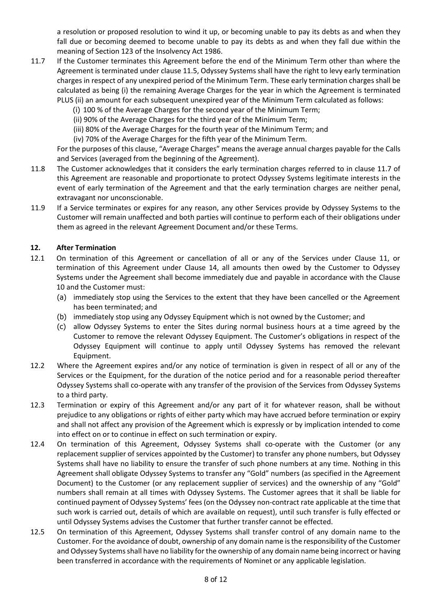a resolution or proposed resolution to wind it up, or becoming unable to pay its debts as and when they fall due or becoming deemed to become unable to pay its debts as and when they fall due within the meaning of Section 123 of the Insolvency Act 1986.

- 11.7 If the Customer terminates this Agreement before the end of the Minimum Term other than where the Agreement is terminated under clause 11.5, Odyssey Systems shall have the right to levy early termination charges in respect of any unexpired period of the Minimum Term. These early termination charges shall be calculated as being (i) the remaining Average Charges for the year in which the Agreement is terminated PLUS (ii) an amount for each subsequent unexpired year of the Minimum Term calculated as follows:
	- (i) 100 % of the Average Charges for the second year of the Minimum Term;
	- (ii) 90% of the Average Charges for the third year of the Minimum Term;
	- (iii) 80% of the Average Charges for the fourth year of the Minimum Term; and
	- (iv) 70% of the Average Charges for the fifth year of the Minimum Term.

For the purposes of this clause, "Average Charges" means the average annual charges payable for the Calls and Services (averaged from the beginning of the Agreement).

- 11.8 The Customer acknowledges that it considers the early termination charges referred to in clause 11.7 of this Agreement are reasonable and proportionate to protect Odyssey Systems legitimate interests in the event of early termination of the Agreement and that the early termination charges are neither penal, extravagant nor unconscionable.
- 11.9 If a Service terminates or expires for any reason, any other Services provide by Odyssey Systems to the Customer will remain unaffected and both parties will continue to perform each of their obligations under them as agreed in the relevant Agreement Document and/or these Terms.

#### **12. After Termination**

- 12.1 On termination of this Agreement or cancellation of all or any of the Services under Clause 11, or termination of this Agreement under Clause 14, all amounts then owed by the Customer to Odyssey Systems under the Agreement shall become immediately due and payable in accordance with the Clause 10 and the Customer must:
	- (a) immediately stop using the Services to the extent that they have been cancelled or the Agreement has been terminated; and
	- (b) immediately stop using any Odyssey Equipment which is not owned by the Customer; and
	- (c) allow Odyssey Systems to enter the Sites during normal business hours at a time agreed by the Customer to remove the relevant Odyssey Equipment. The Customer's obligations in respect of the Odyssey Equipment will continue to apply until Odyssey Systems has removed the relevant Equipment.
- 12.2 Where the Agreement expires and/or any notice of termination is given in respect of all or any of the Services or the Equipment, for the duration of the notice period and for a reasonable period thereafter Odyssey Systems shall co-operate with any transfer of the provision of the Services from Odyssey Systems to a third party.
- 12.3 Termination or expiry of this Agreement and/or any part of it for whatever reason, shall be without prejudice to any obligations or rights of either party which may have accrued before termination or expiry and shall not affect any provision of the Agreement which is expressly or by implication intended to come into effect on or to continue in effect on such termination or expiry.
- 12.4 On termination of this Agreement, Odyssey Systems shall co-operate with the Customer (or any replacement supplier of services appointed by the Customer) to transfer any phone numbers, but Odyssey Systems shall have no liability to ensure the transfer of such phone numbers at any time. Nothing in this Agreement shall obligate Odyssey Systems to transfer any "Gold" numbers (as specified in the Agreement Document) to the Customer (or any replacement supplier of services) and the ownership of any "Gold" numbers shall remain at all times with Odyssey Systems. The Customer agrees that it shall be liable for continued payment of Odyssey Systems' fees (on the Odyssey non-contract rate applicable at the time that such work is carried out, details of which are available on request), until such transfer is fully effected or until Odyssey Systems advises the Customer that further transfer cannot be effected.
- 12.5 On termination of this Agreement, Odyssey Systems shall transfer control of any domain name to the Customer. For the avoidance of doubt, ownership of any domain name is the responsibility of the Customer and Odyssey Systems shall have no liability for the ownership of any domain name being incorrect or having been transferred in accordance with the requirements of Nominet or any applicable legislation.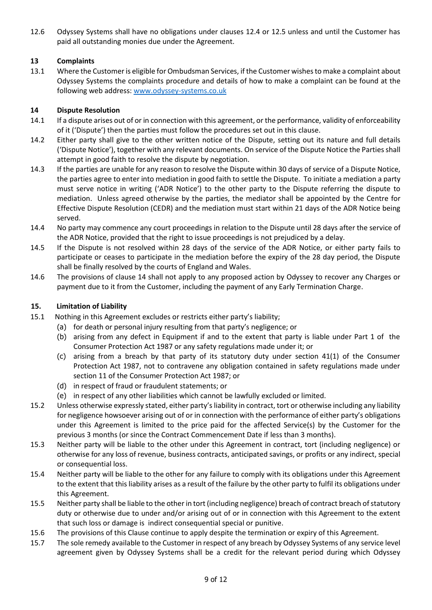12.6 Odyssey Systems shall have no obligations under clauses 12.4 or 12.5 unless and until the Customer has paid all outstanding monies due under the Agreement.

# **13 Complaints**

13.1 Where the Customer is eligible for Ombudsman Services, if the Customer wishes to make a complaint about Odyssey Systems the complaints procedure and details of how to make a complaint can be found at the following web address: [www.odyssey-systems.co.uk](http://www.odyssey-systems.co.uk/)

# **14 Dispute Resolution**

- 14.1 If a dispute arises out of or in connection with this agreement, or the performance, validity of enforceability of it ('Dispute') then the parties must follow the procedures set out in this clause.
- 14.2 Either party shall give to the other written notice of the Dispute, setting out its nature and full details ('Dispute Notice'), together with any relevant documents. On service of the Dispute Notice the Parties shall attempt in good faith to resolve the dispute by negotiation.
- 14.3 If the parties are unable for any reason to resolve the Dispute within 30 days of service of a Dispute Notice, the parties agree to enter into mediation in good faith to settle the Dispute. To initiate a mediation a party must serve notice in writing ('ADR Notice') to the other party to the Dispute referring the dispute to mediation. Unless agreed otherwise by the parties, the mediator shall be appointed by the Centre for Effective Dispute Resolution (CEDR) and the mediation must start within 21 days of the ADR Notice being served.
- 14.4 No party may commence any court proceedings in relation to the Dispute until 28 days after the service of the ADR Notice, provided that the right to issue proceedings is not prejudiced by a delay.
- 14.5 If the Dispute is not resolved within 28 days of the service of the ADR Notice, or either party fails to participate or ceases to participate in the mediation before the expiry of the 28 day period, the Dispute shall be finally resolved by the courts of England and Wales.
- 14.6 The provisions of clause 14 shall not apply to any proposed action by Odyssey to recover any Charges or payment due to it from the Customer, including the payment of any Early Termination Charge.

## **15. Limitation of Liability**

- 15.1 Nothing in this Agreement excludes or restricts either party's liability;
	- (a) for death or personal injury resulting from that party's negligence; or
	- (b) arising from any defect in Equipment if and to the extent that party is liable under Part 1 of the Consumer Protection Act 1987 or any safety regulations made under it; or
	- (c) arising from a breach by that party of its statutory duty under section 41(1) of the Consumer Protection Act 1987, not to contravene any obligation contained in safety regulations made under section 11 of the Consumer Protection Act 1987; or
	- (d) in respect of fraud or fraudulent statements; or
	- (e) in respect of any other liabilities which cannot be lawfully excluded or limited.
- 15.2 Unless otherwise expressly stated, either party's liability in contract, tort or otherwise including any liability for negligence howsoever arising out of or in connection with the performance of either party's obligations under this Agreement is limited to the price paid for the affected Service(s) by the Customer for the previous 3 months (or since the Contract Commencement Date if less than 3 months).
- 15.3 Neither party will be liable to the other under this Agreement in contract, tort (including negligence) or otherwise for any loss of revenue, business contracts, anticipated savings, or profits or any indirect, special or consequential loss.
- 15.4 Neither party will be liable to the other for any failure to comply with its obligations under this Agreement to the extent that this liability arises as a result of the failure by the other party to fulfil its obligations under this Agreement.
- 15.5 Neither party shall be liable to the other in tort (including negligence) breach of contract breach of statutory duty or otherwise due to under and/or arising out of or in connection with this Agreement to the extent that such loss or damage is indirect consequential special or punitive.
- 15.6 The provisions of this Clause continue to apply despite the termination or expiry of this Agreement.
- 15.7 The sole remedy available to the Customer in respect of any breach by Odyssey Systems of any service level agreement given by Odyssey Systems shall be a credit for the relevant period during which Odyssey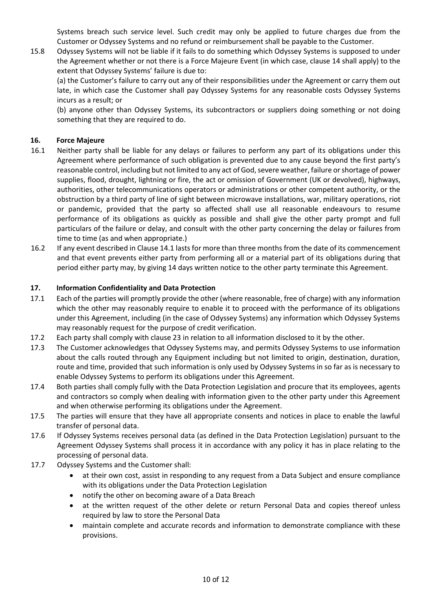Systems breach such service level. Such credit may only be applied to future charges due from the Customer or Odyssey Systems and no refund or reimbursement shall be payable to the Customer.

15.8 Odyssey Systems will not be liable if it fails to do something which Odyssey Systems is supposed to under the Agreement whether or not there is a Force Majeure Event (in which case, clause 14 shall apply) to the extent that Odyssey Systems' failure is due to:

(a) the Customer's failure to carry out any of their responsibilities under the Agreement or carry them out late, in which case the Customer shall pay Odyssey Systems for any reasonable costs Odyssey Systems incurs as a result; or

(b) anyone other than Odyssey Systems, its subcontractors or suppliers doing something or not doing something that they are required to do.

## **16. Force Majeure**

- 16.1 Neither party shall be liable for any delays or failures to perform any part of its obligations under this Agreement where performance of such obligation is prevented due to any cause beyond the first party's reasonable control, including but not limited to any act of God, severe weather, failure or shortage of power supplies, flood, drought, lightning or fire, the act or omission of Government (UK or devolved), highways, authorities, other telecommunications operators or administrations or other competent authority, or the obstruction by a third party of line of sight between microwave installations, war, military operations, riot or pandemic, provided that the party so affected shall use all reasonable endeavours to resume performance of its obligations as quickly as possible and shall give the other party prompt and full particulars of the failure or delay, and consult with the other party concerning the delay or failures from time to time (as and when appropriate.)
- 16.2 If any event described in Clause 14.1 lasts for more than three months from the date of its commencement and that event prevents either party from performing all or a material part of its obligations during that period either party may, by giving 14 days written notice to the other party terminate this Agreement.

### **17. Information Confidentiality and Data Protection**

- 17.1 Each of the parties will promptly provide the other (where reasonable, free of charge) with any information which the other may reasonably require to enable it to proceed with the performance of its obligations under this Agreement, including (in the case of Odyssey Systems) any information which Odyssey Systems may reasonably request for the purpose of credit verification.
- 17.2 Each party shall comply with clause 23 in relation to all information disclosed to it by the other.
- 17.3 The Customer acknowledges that Odyssey Systems may, and permits Odyssey Systems to use information about the calls routed through any Equipment including but not limited to origin, destination, duration, route and time, provided that such information is only used by Odyssey Systems in so far as is necessary to enable Odyssey Systems to perform its obligations under this Agreement.
- 17.4 Both parties shall comply fully with the Data Protection Legislation and procure that its employees, agents and contractors so comply when dealing with information given to the other party under this Agreement and when otherwise performing its obligations under the Agreement.
- 17.5 The parties will ensure that they have all appropriate consents and notices in place to enable the lawful transfer of personal data.
- 17.6 If Odyssey Systems receives personal data (as defined in the Data Protection Legislation) pursuant to the Agreement Odyssey Systems shall process it in accordance with any policy it has in place relating to the processing of personal data.
- 17.7 Odyssey Systems and the Customer shall:
	- at their own cost, assist in responding to any request from a Data Subject and ensure compliance with its obligations under the Data Protection Legislation
	- notify the other on becoming aware of a Data Breach
	- at the written request of the other delete or return Personal Data and copies thereof unless required by law to store the Personal Data
	- maintain complete and accurate records and information to demonstrate compliance with these provisions.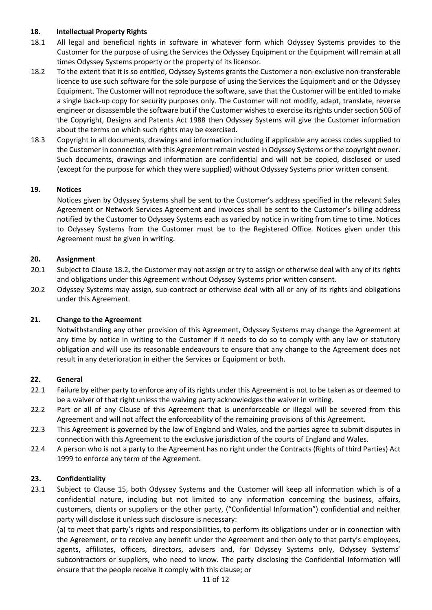## **18. Intellectual Property Rights**

- 18.1 All legal and beneficial rights in software in whatever form which Odyssey Systems provides to the Customer for the purpose of using the Services the Odyssey Equipment or the Equipment will remain at all times Odyssey Systems property or the property of its licensor.
- 18.2 To the extent that it is so entitled, Odyssey Systems grants the Customer a non-exclusive non-transferable licence to use such software for the sole purpose of using the Services the Equipment and or the Odyssey Equipment. The Customer will not reproduce the software, save that the Customer will be entitled to make a single back-up copy for security purposes only. The Customer will not modify, adapt, translate, reverse engineer or disassemble the software but if the Customer wishes to exercise its rights under section 50B of the Copyright, Designs and Patents Act 1988 then Odyssey Systems will give the Customer information about the terms on which such rights may be exercised.
- 18.3 Copyright in all documents, drawings and information including if applicable any access codes supplied to the Customer in connection with this Agreement remain vested in Odyssey Systems or the copyright owner. Such documents, drawings and information are confidential and will not be copied, disclosed or used (except for the purpose for which they were supplied) without Odyssey Systems prior written consent.

### **19. Notices**

Notices given by Odyssey Systems shall be sent to the Customer's address specified in the relevant Sales Agreement or Network Services Agreement and invoices shall be sent to the Customer's billing address notified by the Customer to Odyssey Systems each as varied by notice in writing from time to time. Notices to Odyssey Systems from the Customer must be to the Registered Office. Notices given under this Agreement must be given in writing.

### **20. Assignment**

- 20.1 Subject to Clause 18.2, the Customer may not assign or try to assign or otherwise deal with any of its rights and obligations under this Agreement without Odyssey Systems prior written consent.
- 20.2 Odyssey Systems may assign, sub-contract or otherwise deal with all or any of its rights and obligations under this Agreement.

#### **21. Change to the Agreement**

Notwithstanding any other provision of this Agreement, Odyssey Systems may change the Agreement at any time by notice in writing to the Customer if it needs to do so to comply with any law or statutory obligation and will use its reasonable endeavours to ensure that any change to the Agreement does not result in any deterioration in either the Services or Equipment or both.

#### **22. General**

- 22.1 Failure by either party to enforce any of its rights under this Agreement is not to be taken as or deemed to be a waiver of that right unless the waiving party acknowledges the waiver in writing.
- 22.2 Part or all of any Clause of this Agreement that is unenforceable or illegal will be severed from this Agreement and will not affect the enforceability of the remaining provisions of this Agreement.
- 22.3 This Agreement is governed by the law of England and Wales, and the parties agree to submit disputes in connection with this Agreement to the exclusive jurisdiction of the courts of England and Wales.
- 22.4 A person who is not a party to the Agreement has no right under the Contracts (Rights of third Parties) Act 1999 to enforce any term of the Agreement.

#### **23. Confidentiality**

23.1 Subject to Clause 15, both Odyssey Systems and the Customer will keep all information which is of a confidential nature, including but not limited to any information concerning the business, affairs, customers, clients or suppliers or the other party, ("Confidential Information") confidential and neither party will disclose it unless such disclosure is necessary:

(a) to meet that party's rights and responsibilities, to perform its obligations under or in connection with the Agreement, or to receive any benefit under the Agreement and then only to that party's employees, agents, affiliates, officers, directors, advisers and, for Odyssey Systems only, Odyssey Systems' subcontractors or suppliers, who need to know. The party disclosing the Confidential Information will ensure that the people receive it comply with this clause; or